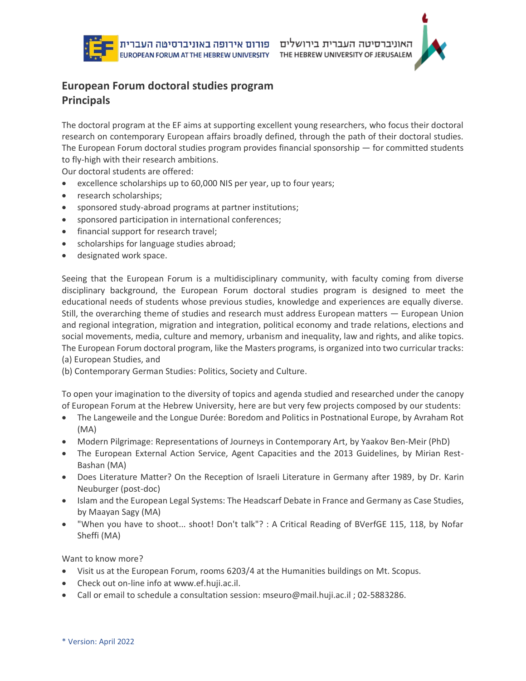



# **European Forum doctoral studies program Principals**

The doctoral program at the EF aims at supporting excellent young researchers, who focus their doctoral research on contemporary European affairs broadly defined, through the path of their doctoral studies. The European Forum doctoral studies program provides financial sponsorship  $-$  for committed students to fly-high with their research ambitions.

Our doctoral students are offered:

- excellence scholarships up to 60,000 NIS per year, up to four years;
- research scholarships;
- sponsored study-abroad programs at partner institutions;
- sponsored participation in international conferences;
- financial support for research travel;
- scholarships for language studies abroad;
- designated work space.

Seeing that the European Forum is a multidisciplinary community, with faculty coming from diverse disciplinary background, the European Forum doctoral studies program is designed to meet the educational needs of students whose previous studies, knowledge and experiences are equally diverse. Still, the overarching theme of studies and research must address European matters — European Union and regional integration, migration and integration, political economy and trade relations, elections and social movements, media, culture and memory, urbanism and inequality, law and rights, and alike topics. The European Forum doctoral program, like the Masters programs, is organized into two curricular tracks: (a) European Studies, and

(b) Contemporary German Studies: Politics, Society and Culture.

To open your imagination to the diversity of topics and agenda studied and researched under the canopy of European Forum at the Hebrew University, here are but very few projects composed by our students:

- The Langeweile and the Longue Durée: Boredom and Politics in Postnational Europe, by Avraham Rot (MA)
- Modern Pilgrimage: Representations of Journeys in Contemporary Art, by Yaakov Ben-Meir (PhD)
- The European External Action Service, Agent Capacities and the 2013 Guidelines, by Mirian Rest-Bashan (MA)
- Does Literature Matter? On the Reception of Israeli Literature in Germany after 1989, by Dr. Karin Neuburger (post-doc)
- Islam and the European Legal Systems: The Headscarf Debate in France and Germany as Case Studies, by Maayan Sagy (MA)
- "When you have to shoot... shoot! Don't talk"? : A Critical Reading of BVerfGE 115, 118, by Nofar Sheffi (MA)

Want to know more?

- Visit us at the European Forum, rooms 6203/4 at the Humanities buildings on Mt. Scopus.
- Check out on-line info at www.ef.huji.ac.il.
- Call or email to schedule a consultation session: mseuro@mail.huji.ac.il ; 02-5883286.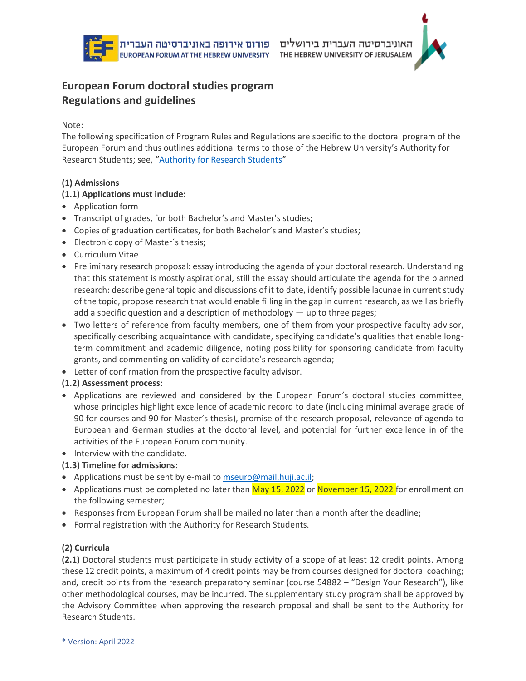



# **European Forum doctoral studies program Regulations and guidelines**

Note:

The following specification of Program Rules and Regulations are specific to the doctoral program of the European Forum and thus outlines additional terms to those of the Hebrew University's Authority for Research Students; see, "[Authority for Research Students](http://www.research-students.huji.ac.il/en)"

## **(1) Admissions**

#### **(1.1) Applications must include:**

- Application form
- Transcript of grades, for both Bachelor's and Master's studies;
- Copies of graduation certificates, for both Bachelor's and Master's studies;
- Electronic copy of Master´s thesis;
- Curriculum Vitae
- Preliminary research proposal: essay introducing the agenda of your doctoral research. Understanding that this statement is mostly aspirational, still the essay should articulate the agenda for the planned research: describe general topic and discussions of it to date, identify possible lacunae in current study of the topic, propose research that would enable filling in the gap in current research, as well as briefly add a specific question and a description of methodology — up to three pages;
- Two letters of reference from faculty members, one of them from your prospective faculty advisor, specifically describing acquaintance with candidate, specifying candidate's qualities that enable longterm commitment and academic diligence, noting possibility for sponsoring candidate from faculty grants, and commenting on validity of candidate's research agenda;
- Letter of confirmation from the prospective faculty advisor.

## **(1.2) Assessment process**:

- Applications are reviewed and considered by the European Forum's doctoral studies committee, whose principles highlight excellence of academic record to date (including minimal average grade of 90 for courses and 90 for Master's thesis), promise of the research proposal, relevance of agenda to European and German studies at the doctoral level, and potential for further excellence in of the activities of the European Forum community.
- Interview with the candidate.

## **(1.3) Timeline for admissions**:

- Applications must be sent by e-mail to [mseuro@mail.huji.ac.il;](mailto:mseuro@mail.huji.ac.il)
- Applications must be completed no later than May 15, 2022 or November 15, 2022 for enrollment on the following semester;
- Responses from European Forum shall be mailed no later than a month after the deadline;
- Formal registration with the Authority for Research Students.

## **(2) Curricula**

**(2.1)** Doctoral students must participate in study activity of a scope of at least 12 credit points. Among these 12 credit points, a maximum of 4 credit points may be from courses designed for doctoral coaching; and, credit points from the research preparatory seminar (course 54882 – "Design Your Research"), like other methodological courses, may be incurred. The supplementary study program shall be approved by the Advisory Committee when approving the research proposal and shall be sent to the Authority for Research Students.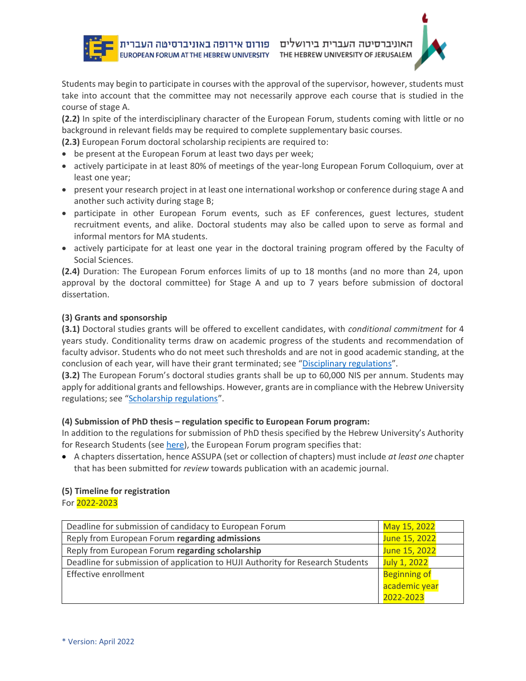Students may begin to participate in courses with the approval of the supervisor, however, students must take into account that the committee may not necessarily approve each course that is studied in the course of stage A.

**(2.2)** In spite of the interdisciplinary character of the European Forum, students coming with little or no background in relevant fields may be required to complete supplementary basic courses.

**(2.3)** European Forum doctoral scholarship recipients are required to:

- be present at the European Forum at least two days per week;
- actively participate in at least 80% of meetings of the year-long European Forum Colloquium, over at least one year;
- present your research project in at least one international workshop or conference during stage A and another such activity during stage B;
- participate in other European Forum events, such as EF conferences, guest lectures, student recruitment events, and alike. Doctoral students may also be called upon to serve as formal and informal mentors for MA students.
- actively participate for at least one year in the doctoral training program offered by the Faculty of Social Sciences.

**(2.4)** Duration: The European Forum enforces limits of up to 18 months (and no more than 24, upon approval by the doctoral committee) for Stage A and up to 7 years before submission of doctoral dissertation.

#### **(3) Grants and sponsorship**

**(3.1)** Doctoral studies grants will be offered to excellent candidates, with *conditional commitment* for 4 years study. Conditionality terms draw on academic progress of the students and recommendation of faculty advisor. Students who do not meet such thresholds and are not in good academic standing, at the conclusion of each year, will have their grant terminated; see "[Disciplinary regulations](https://openscholar.huji.ac.il/sites/default/files/acs/files/disciplinary_regulations_students.pdf)".

**(3.2)** The European Forum's doctoral studies grants shall be up to 60,000 NIS per annum. Students may apply for additional grants and fellowships. However, grants are in compliance with the Hebrew University regulations; see "[Scholarship regulations](https://openscholar.huji.ac.il/sites/default/files/acs/files/mihya_ma_dr.pdf)".

#### **(4) Submission of PhD thesis – regulation specific to European Forum program:**

In addition to the regulations for submission of PhD thesis specified by the Hebrew University's Authority for Research Students (see [here\)](http://www.research-students.huji.ac.il/en/phd-thesis-format-humanities-and-social-sciences), the European Forum program specifies that:

• A chapters dissertation, hence ASSUPA (set or collection of chapters) must include *at least one* chapter that has been submitted for *review* towards publication with an academic journal.

#### **(5) Timeline for registration**

For 2022-2023

| Deadline for submission of candidacy to European Forum                         | May 15, 2022        |
|--------------------------------------------------------------------------------|---------------------|
| Reply from European Forum regarding admissions                                 | June 15, 2022       |
| Reply from European Forum regarding scholarship                                | June 15, 2022       |
| Deadline for submission of application to HUJI Authority for Research Students | July 1, 2022        |
| Effective enrollment                                                           | <b>Beginning of</b> |
|                                                                                | academic year       |
|                                                                                | 2022-2023           |